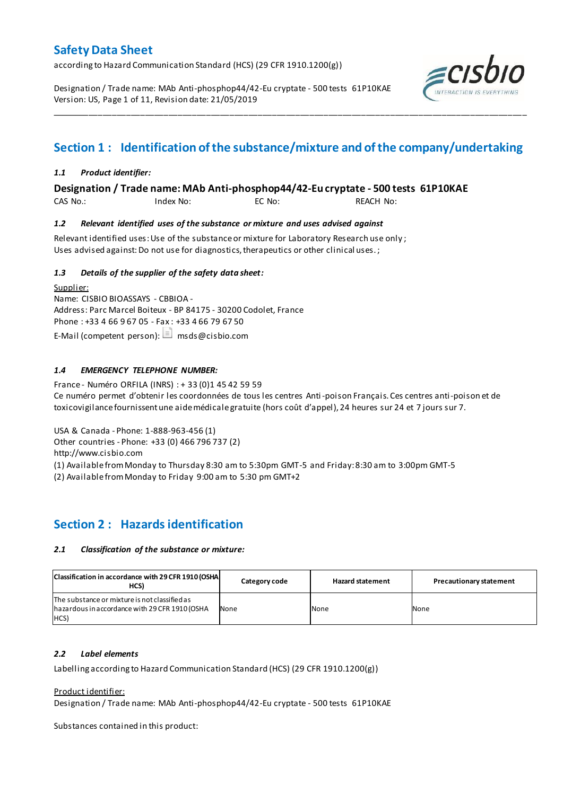according to Hazard Communication Standard (HCS) (29 CFR 1910.1200(g))

Designation / Trade name: MAb Anti-phosphop44/42-Eu cryptate - 500 tests 61P10KAE Version: US, Page 1 of 11, Revision date: 21/05/2019



# **Section 1 : Identification of the substance/mixture and of the company/undertaking**

\_\_\_\_\_\_\_\_\_\_\_\_\_\_\_\_\_\_\_\_\_\_\_\_\_\_\_\_\_\_\_\_\_\_\_\_\_\_\_\_\_\_\_\_\_\_\_\_\_\_\_\_\_\_\_\_\_\_\_\_\_\_\_\_\_\_\_\_\_\_\_\_\_\_\_\_\_\_\_\_\_\_\_\_\_\_\_\_\_\_\_\_\_\_\_\_\_\_\_\_\_

# *1.1 Product identifier:*

**Designation / Trade name: MAb Anti-phosphop44/42-Eu cryptate - 500 tests 61P10KAE** 

CAS No.: Index No: EC No: REACH No:

### *1.2 Relevant identified uses of the substance or mixture and uses advised against*

Relevant identified uses: Use of the substance or mixture for Laboratory Research use only ; Uses advised against: Do not use for diagnostics, therapeutics or other clinical uses.;

# *1.3 Details of the supplier of the safety data sheet:*

Supplier: Name: CISBIO BIOASSAYS - CBBIOA - Address: Parc Marcel Boiteux - BP 84175 - 30200 Codolet, France Phone : +33 4 66 9 67 05 - Fax : +33 4 66 79 67 50 E-Mail (competent person):  $\Box$  msds@cisbio.com

# *1.4 EMERGENCY TELEPHONE NUMBER:*

France - Numéro ORFILA (INRS) : + 33 (0)1 45 42 59 59 Ce numéro permet d'obtenir les coordonnées de tous les centres Anti-poison Français. Ces centres anti-poison et de toxicovigilance fournissent une aide médicale gratuite (hors coût d'appel), 24 heures sur 24 et 7 jours sur 7.

USA & Canada - Phone: 1-888-963-456 (1)

Other countries - Phone: +33 (0) 466 796 737 (2)

http://www.cisbio.com

(1) Available from Monday to Thursday 8:30 am to 5:30pm GMT-5 and Friday: 8:30 am to 3:00pm GMT-5

(2) Available from Monday to Friday 9:00 am to 5:30 pm GMT+2

# **Section 2 : Hazards identification**

### *2.1 Classification of the substance or mixture:*

| Classification in accordance with 29 CFR 1910 (OSHA)<br>HCS)                                            | Category code | <b>Hazard statement</b> | <b>Precautionary statement</b> |
|---------------------------------------------------------------------------------------------------------|---------------|-------------------------|--------------------------------|
| The substance or mixture is not classified as<br>hazardous in accordance with 29 CFR 1910 (OSHA<br>HCS) | None          | None                    | None                           |

### *2.2 Label elements*

Labelling according to Hazard Communication Standard (HCS) (29 CFR 1910.1200(g))

### Product identifier:

Designation / Trade name: MAb Anti-phosphop44/42-Eu cryptate - 500 tests 61P10KAE

Substances contained in this product: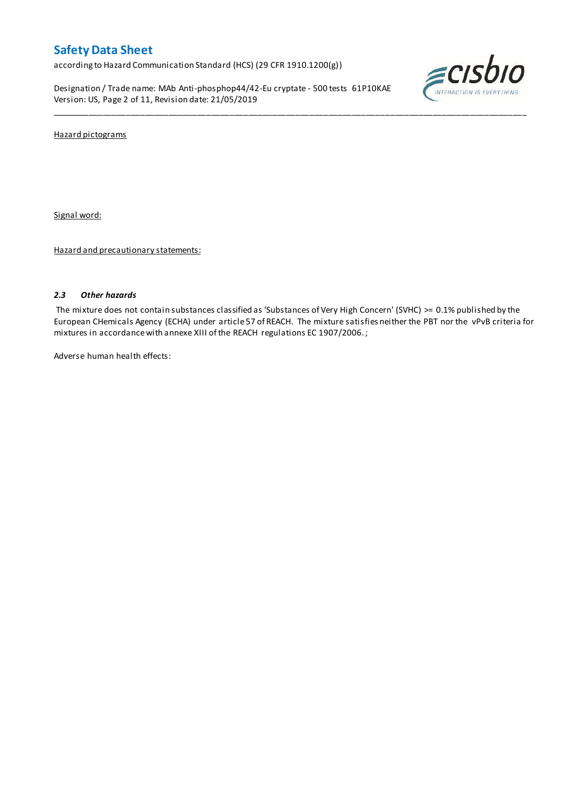according to Hazard Communication Standard (HCS) (29 CFR 1910.1200(g))

Designation / Trade name: MAb Anti-phosphop44/42-Eu cryptate - 500 tests 61P10KAE Version: US, Page 2 of 11, Revision date: 21/05/2019



Hazard pictograms

Signal word:

Hazard and precautionary statements:

### *2.3 Other hazards*

The mixture does not contain substances classified as 'Substances of Very High Concern' (SVHC) >= 0.1% published by the European CHemicals Agency (ECHA) under article 57 of REACH. The mixture satisfies neither the PBT nor the vPvB criteria for mixtures in accordance with annexe XIII of the REACH regulations EC 1907/2006. ;

\_\_\_\_\_\_\_\_\_\_\_\_\_\_\_\_\_\_\_\_\_\_\_\_\_\_\_\_\_\_\_\_\_\_\_\_\_\_\_\_\_\_\_\_\_\_\_\_\_\_\_\_\_\_\_\_\_\_\_\_\_\_\_\_\_\_\_\_\_\_\_\_\_\_\_\_\_\_\_\_\_\_\_\_\_\_\_\_\_\_\_\_\_\_\_\_\_\_\_\_\_

Adverse human health effects: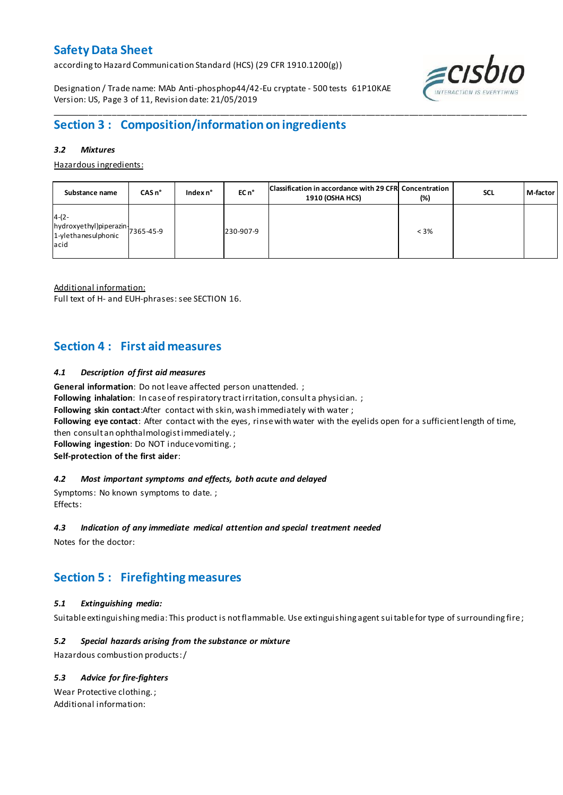according to Hazard Communication Standard (HCS) (29 CFR 1910.1200(g))

Designation / Trade name: MAb Anti-phosphop44/42-Eu cryptate - 500 tests 61P10KAE Version: US, Page 3 of 11, Revision date: 21/05/2019



### *3.2 Mixtures*

Hazardous ingredients:

| Substance name                                                                                                                       | $CASn^{\circ}$ | Index n° | EC n°     | Classification in accordance with 29 CFR Concentration<br><b>1910 (OSHA HCS)</b> | (%)     | <b>SCL</b> | M-factor |
|--------------------------------------------------------------------------------------------------------------------------------------|----------------|----------|-----------|----------------------------------------------------------------------------------|---------|------------|----------|
| $4-(2-$<br>$\left  \frac{h}{d} \right $ hydroxyethyl)piperazin $\left  \frac{1}{2} \right $ 365-45-9<br>1-ylethanesulphonic<br>lacid |                |          | 230-907-9 |                                                                                  | $< 3\%$ |            |          |

Additional information:

Full text of H- and EUH-phrases: see SECTION 16.

# **Section 4 : First aid measures**

# *4.1 Description of first aid measures*

**General information**: Do not leave affected person unattended. ;

Following inhalation: In case of respiratory tract irritation, consult a physician. ;

**Following skin contact**:After contact with skin, wash immediately with water ;

**Following eye contact**: After contact with the eyes, rinse with water with the eyelids open for a sufficient length of time,

then consult an ophthalmologist immediately. ;

**Following ingestion**: Do NOT induce vomiting. ;

**Self-protection of the first aider**:

### *4.2 Most important symptoms and effects, both acute and delayed*

Symptoms: No known symptoms to date. ; Effects:

### *4.3 Indication of any immediate medical attention and special treatment needed*

Notes for the doctor:

# **Section 5 : Firefighting measures**

# *5.1 Extinguishing media:*

Suitable extinguishing media: This product is not flammable. Use extinguishing agent suitable for type of surrounding fire ;

# *5.2 Special hazards arising from the substance or mixture*

Hazardous combustion products:/

# *5.3 Advice for fire-fighters*

Wear Protective clothing. ; Additional information:

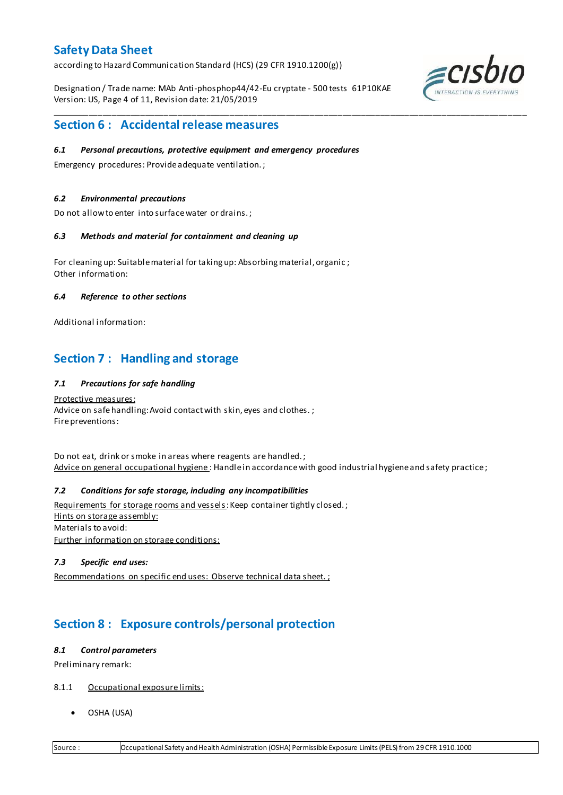according to Hazard Communication Standard (HCS) (29 CFR 1910.1200(g))

Designation / Trade name: MAb Anti-phosphop44/42-Eu cryptate - 500 tests 61P10KAE Version: US, Page 4 of 11, Revision date: 21/05/2019

\_\_\_\_\_\_\_\_\_\_\_\_\_\_\_\_\_\_\_\_\_\_\_\_\_\_\_\_\_\_\_\_\_\_\_\_\_\_\_\_\_\_\_\_\_\_\_\_\_\_\_\_\_\_\_\_\_\_\_\_\_\_\_\_\_\_\_\_\_\_\_\_\_\_\_\_\_\_\_\_\_\_\_\_\_\_\_\_\_\_\_\_\_\_\_\_\_\_\_\_\_



# **Section 6 : Accidental release measures**

### *6.1 Personal precautions, protective equipment and emergency procedures*

Emergency procedures: Provide adequate ventilation. ;

#### *6.2 Environmental precautions*

Do not allow to enter into surface water or drains. ;

#### *6.3 Methods and material for containment and cleaning up*

For cleaning up: Suitable material for taking up: Absorbing material, organic ; Other information:

#### *6.4 Reference to other sections*

Additional information:

# **Section 7 : Handling and storage**

### *7.1 Precautions for safe handling*

Protective measures: Advice on safe handling: Avoid contact with skin, eyes and clothes.; Fire preventions:

Do not eat, drink or smoke in areas where reagents are handled. ; Advice on general occupational hygiene : Handle in accordance with good industrial hygiene and safety practice;

# *7.2 Conditions for safe storage, including any incompatibilities*

Requirements for storage rooms and vessels: Keep container tightly closed.; Hints on storage assembly: Materials to avoid: Further information on storage conditions:

## *7.3 Specific end uses:*

Recommendations on specific end uses: Observe technical data sheet. ;

# **Section 8 : Exposure controls/personal protection**

#### *8.1 Control parameters*

Preliminary remark:

- 8.1.1 Occupational exposure limits:
	- OSHA (USA)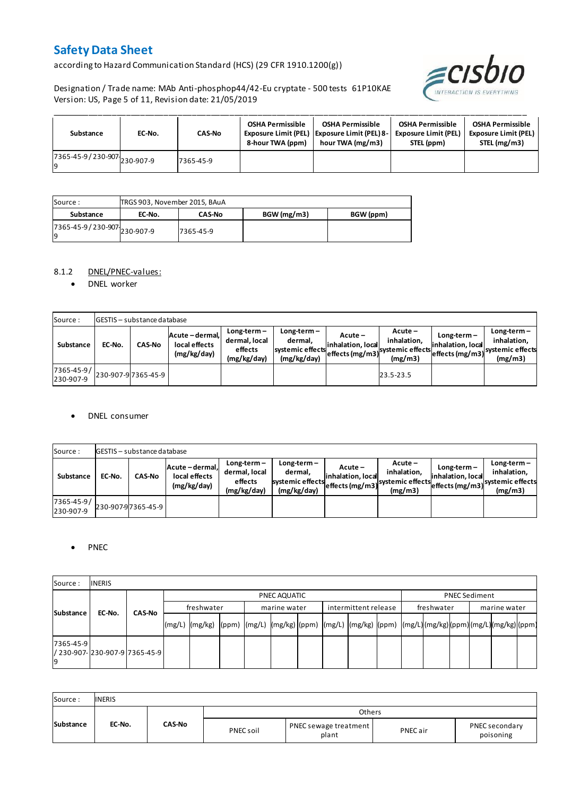according to Hazard Communication Standard (HCS) (29 CFR 1910.1200(g))

Designation / Trade name: MAb Anti-phosphop44/42-Eu cryptate - 500 tests 61P10KAE Version: US, Page 5 of 11, Revision date: 21/05/2019



| Substance                         | EC-No. | <b>CAS-No</b> | <b>OSHA Permissible</b><br>8-hour TWA (ppm) | <b>OSHA Permissible</b><br>Exposure Limit (PEL)   Exposure Limit (PEL) 8-<br>hour TWA (mg/m3) | <b>OSHA Permissible</b><br><b>Exposure Limit (PEL)</b><br>STEL (ppm) | <b>OSHA Permissible</b><br><b>Exposure Limit (PEL)</b><br>STEL (mg/m3) |
|-----------------------------------|--------|---------------|---------------------------------------------|-----------------------------------------------------------------------------------------------|----------------------------------------------------------------------|------------------------------------------------------------------------|
| 7365-45-9/230-907 230-907-9<br>١q |        | 7365-45-9     |                                             |                                                                                               |                                                                      |                                                                        |

| Source :                            | TRGS 903, November 2015, BAuA |               |            |           |
|-------------------------------------|-------------------------------|---------------|------------|-----------|
| Substance                           | EC-No.                        | <b>CAS-No</b> | BGW(mg/m3) | BGW (ppm) |
| 7365-45-9 / 230-907 230-907-9<br>19 |                               | 7365-45-9     |            |           |

### 8.1.2 DNEL/PNEC-values:

• DNEL worker

| Source:                 |        | <b>GESTIS</b> - substance database |                                                 |                                                          |                                                             |                              |                                                                                                            |                                    |                                         |
|-------------------------|--------|------------------------------------|-------------------------------------------------|----------------------------------------------------------|-------------------------------------------------------------|------------------------------|------------------------------------------------------------------------------------------------------------|------------------------------------|-----------------------------------------|
| Substance               | EC-No. | <b>CAS-No</b>                      | Acute - dermal,<br>local effects<br>(mg/kg/day) | $Long-term -$<br>dermal, local<br>effects<br>(mg/kg/day) | $Long-term -$<br>dermal.<br>systemic effects<br>(mg/kg/day) | Acute –<br>inhalation, local | $Acute -$<br>inhalation.<br>effects (mg/m3) <sup>systemic</sup> effects (mg/m3)systemic effects<br>(mg/m3) | $Long-term -$<br>inhalation, local | $Long-term -$<br>inhalation.<br>(mg/m3) |
| 7365-45-9/<br>230-907-9 |        | 230-907-9 7365-45-9                |                                                 |                                                          |                                                             |                              | 23.5-23.5                                                                                                  |                                    |                                         |

### DNEL consumer

| Source:                 |        | GESTIS - substance database |                                               |                                                          |                                                             |                              |                                                                                             |                                  |                                                                             |
|-------------------------|--------|-----------------------------|-----------------------------------------------|----------------------------------------------------------|-------------------------------------------------------------|------------------------------|---------------------------------------------------------------------------------------------|----------------------------------|-----------------------------------------------------------------------------|
| Substance               | EC-No. | <b>CAS-No</b>               | Acute-dermal,<br>local effects<br>(mg/kg/day) | $Long-term -$<br>dermal, local<br>effects<br>(mg/kg/day) | $Long-term -$<br>dermal.<br>systemic effects<br>(mg/kg/day) | Acute –<br>inhalation. local | $Acute -$<br>inhalation.<br>--->leffects (mg/m3) systemic effects <sub>et-</sub><br>(mg/m3) | Long-term –<br>inhalation. local | $Long-term -$<br>inhalation.<br>effects (mg/m3) systemic effects<br>(mg/m3) |
| 7365-45-9/<br>230-907-9 |        | 230-907-97365-45-9          |                                               |                                                          |                                                             |                              |                                                                                             |                                  |                                                                             |

### • PNEC

| Source:         | <b>INERIS</b>                   |               |        |              |  |  |              |  |                      |  |            |                      |              |  |  |  |  |
|-----------------|---------------------------------|---------------|--------|--------------|--|--|--------------|--|----------------------|--|------------|----------------------|--------------|--|--|--|--|
|                 |                                 |               |        | PNEC AQUATIC |  |  |              |  |                      |  |            | <b>PNEC Sediment</b> |              |  |  |  |  |
|                 | EC-No.                          | <b>CAS-No</b> |        | freshwater   |  |  | marine water |  | intermittent release |  | freshwater |                      | marine water |  |  |  |  |
| Substance       |                                 |               | (mg/L) |              |  |  |              |  |                      |  |            |                      |              |  |  |  |  |
| 7365-45-9<br>۱q | / 230-907-1230-907-917365-45-91 |               |        |              |  |  |              |  |                      |  |            |                      |              |  |  |  |  |

| Source:   | <b>INERIS</b> |               |           |                                |          |                             |
|-----------|---------------|---------------|-----------|--------------------------------|----------|-----------------------------|
|           |               |               |           | Others                         |          |                             |
| Substance | EC-No.        | <b>CAS-No</b> | PNEC soil | PNEC sewage treatment<br>plant | PNEC air | PNEC secondary<br>poisoning |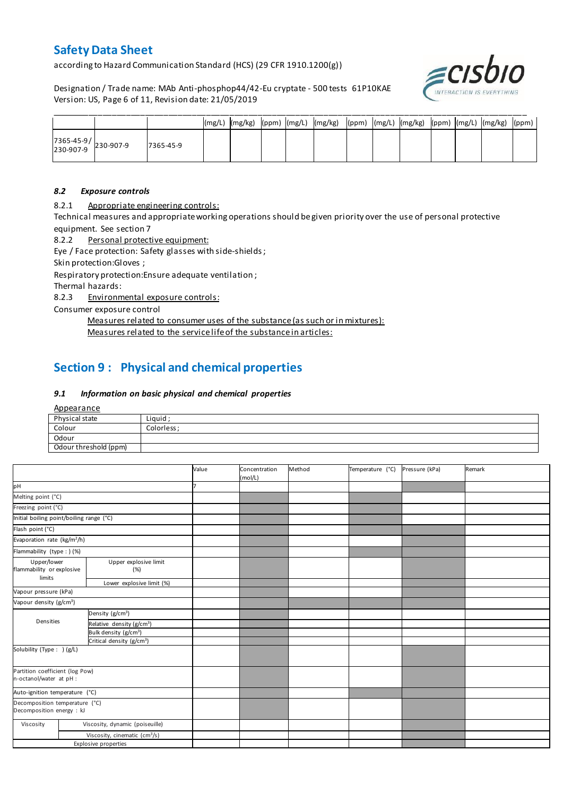according to Hazard Communication Standard (HCS) (29 CFR 1910.1200(g))

Designation / Trade name: MAb Anti-phosphop44/42-Eu cryptate - 500 tests 61P10KAE Version: US, Page 6 of 11, Revision date: 21/05/2019



|                                                                                       |           |  |  | (mg/L)  (mg/kg)  (ppm)  (mg/L)  (mg/kg)  (ppm)  (mg/L)  (mg/kg)  (ppm)  (mg/L)  (mg/kg)  (ppm) |  |  |  |  |
|---------------------------------------------------------------------------------------|-----------|--|--|------------------------------------------------------------------------------------------------|--|--|--|--|
| $\begin{array}{ c c c c }\n 7365-45-9 & & 230-907-9 \\ 230-907-9 & & & \n\end{array}$ | 7365-45-9 |  |  |                                                                                                |  |  |  |  |

### *8.2 Exposure controls*

8.2.1 Appropriate engineering controls:

Technical measures and appropriate working operations should be given priority over the use of personal protective equipment. See section 7

8.2.2 Personal protective equipment:

Eye / Face protection: Safety glasses with side-shields ;

Skin protection:Gloves ;

Respiratory protection:Ensure adequate ventilation ;

Thermal hazards:

8.2.3 Environmental exposure controls:

Consumer exposure control

Measures related to consumer uses of the substance (as such or in mixtures):

Measures related to the service life of the substance in articles:

# **Section 9 : Physical and chemical properties**

### *9.1 Information on basic physical and chemical properties*

**Appearance** 

| Physical state        | Liguid      |
|-----------------------|-------------|
| Colour                | Colorless : |
| Odour                 |             |
| Odour threshold (ppm) |             |

|                                                                          |  |                                           | Value | Concentration<br>(mol/L) | Method | Temperature (°C) | Pressure (kPa) | Remark |
|--------------------------------------------------------------------------|--|-------------------------------------------|-------|--------------------------|--------|------------------|----------------|--------|
| pH                                                                       |  |                                           |       |                          |        |                  |                |        |
| Melting point (°C)                                                       |  |                                           |       |                          |        |                  |                |        |
| Freezing point (°C)                                                      |  |                                           |       |                          |        |                  |                |        |
| Initial boiling point/boiling range (°C)                                 |  |                                           |       |                          |        |                  |                |        |
| Flash point (°C)                                                         |  |                                           |       |                          |        |                  |                |        |
| Evaporation rate (kg/m <sup>2</sup> /h)                                  |  |                                           |       |                          |        |                  |                |        |
| Flammability (type : ) (%)                                               |  |                                           |       |                          |        |                  |                |        |
| Upper/lower<br>Upper explosive limit<br>flammability or explosive<br>(%) |  |                                           |       |                          |        |                  |                |        |
| limits<br>Lower explosive limit (%)                                      |  |                                           |       |                          |        |                  |                |        |
| Vapour pressure (kPa)                                                    |  |                                           |       |                          |        |                  |                |        |
| Vapour density (g/cm <sup>3</sup> )                                      |  |                                           |       |                          |        |                  |                |        |
|                                                                          |  | Density (g/cm <sup>3</sup> )              |       |                          |        |                  |                |        |
| Densities                                                                |  | Relative density (g/cm <sup>3</sup> )     |       |                          |        |                  |                |        |
|                                                                          |  | Bulk density (g/cm <sup>3</sup> )         |       |                          |        |                  |                |        |
|                                                                          |  | Critical density (g/cm <sup>3</sup> )     |       |                          |        |                  |                |        |
| Solubility (Type: ) (g/L)                                                |  |                                           |       |                          |        |                  |                |        |
| Partition coefficient (log Pow)<br>n-octanol/water at pH :               |  |                                           |       |                          |        |                  |                |        |
| Auto-ignition temperature (°C)                                           |  |                                           |       |                          |        |                  |                |        |
| Decomposition temperature (°C)<br>Decomposition energy : kJ              |  |                                           |       |                          |        |                  |                |        |
| Viscosity                                                                |  | Viscosity, dynamic (poiseuille)           |       |                          |        |                  |                |        |
|                                                                          |  | Viscosity, cinematic (cm <sup>3</sup> /s) |       |                          |        |                  |                |        |
|                                                                          |  | <b>Explosive properties</b>               |       |                          |        |                  |                |        |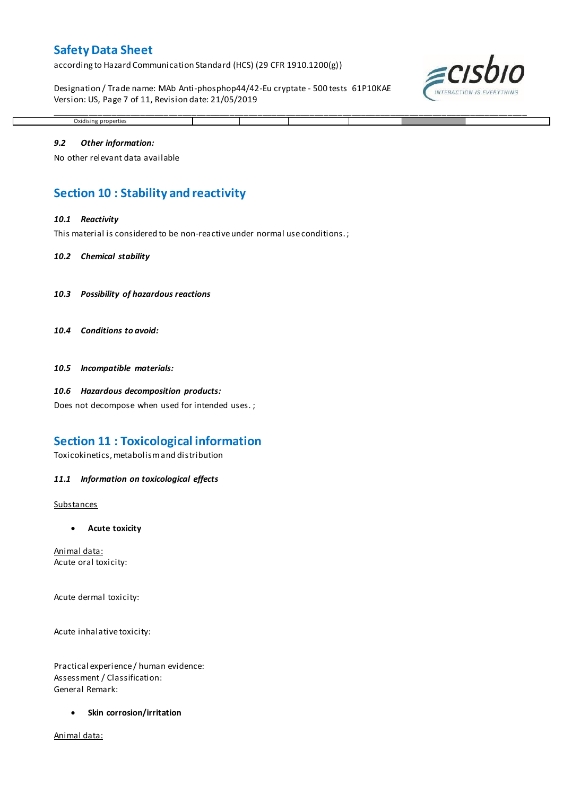according to Hazard Communication Standard (HCS) (29 CFR 1910.1200(g))

Designation / Trade name: MAb Anti-phosphop44/42-Eu cryptate - 500 tests 61P10KAE Version: US, Page 7 of 11, Revision date: 21/05/2019

\_\_\_\_\_\_\_\_\_\_\_\_\_\_\_\_\_\_\_\_\_\_\_\_\_\_\_\_\_\_\_\_\_\_\_\_\_\_\_\_\_\_\_\_\_\_\_\_\_\_\_\_\_\_\_\_\_\_\_\_\_\_\_\_\_\_\_\_\_\_\_\_\_\_\_\_\_\_\_\_\_\_\_\_\_\_\_\_\_\_\_\_\_\_\_\_\_\_\_\_\_



### *9.2 Other information:*

Oxidising properties

No other relevant data available

# **Section 10 : Stability and reactivity**

#### *10.1 Reactivity*

This material is considered to be non-reactive under normal use conditions. ;

#### *10.2 Chemical stability*

- *10.3 Possibility of hazardous reactions*
- *10.4 Conditions to avoid:*

*10.5 Incompatible materials:*

#### *10.6 Hazardous decomposition products:*

Does not decompose when used for intended uses. ;

# **Section 11 : Toxicological information**

Toxicokinetics, metabolism and distribution

#### *11.1 Information on toxicological effects*

#### **Substances**

**Acute toxicity**

Animal data: Acute oral toxicity:

Acute dermal toxicity:

Acute inhalative toxicity:

Practical experience / human evidence: Assessment / Classification: General Remark:

**•** Skin corrosion/irritation

Animal data: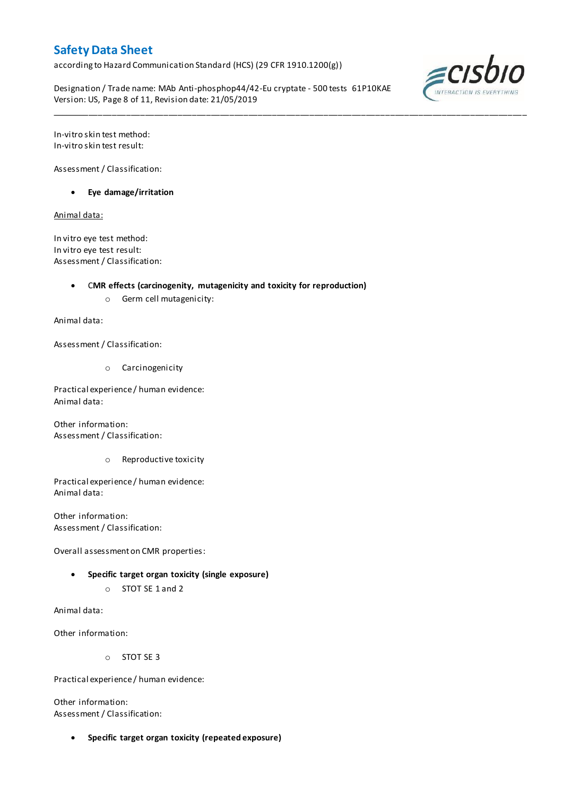according to Hazard Communication Standard (HCS) (29 CFR 1910.1200(g))

Designation / Trade name: MAb Anti-phosphop44/42-Eu cryptate - 500 tests 61P10KAE Version: US, Page 8 of 11, Revision date: 21/05/2019

\_\_\_\_\_\_\_\_\_\_\_\_\_\_\_\_\_\_\_\_\_\_\_\_\_\_\_\_\_\_\_\_\_\_\_\_\_\_\_\_\_\_\_\_\_\_\_\_\_\_\_\_\_\_\_\_\_\_\_\_\_\_\_\_\_\_\_\_\_\_\_\_\_\_\_\_\_\_\_\_\_\_\_\_\_\_\_\_\_\_\_\_\_\_\_\_\_\_\_\_\_



In-vitro skin test method: In-vitro skin test result:

Assessment / Classification:

**Eye damage/irritation**

Animal data:

In vitro eye test method: In vitro eye test result: Assessment / Classification:

C**MR effects (carcinogenity, mutagenicity and toxicity for reproduction)**

o Germ cell mutagenicity:

Animal data:

Assessment / Classification:

o Carcinogenicity

Practical experience / human evidence: Animal data:

Other information: Assessment / Classification:

o Reproductive toxicity

Practical experience / human evidence: Animal data:

Other information: Assessment / Classification:

Overall assessment on CMR properties:

- **Specific target organ toxicity (single exposure)**
	- o STOT SE 1 and 2

Animal data:

Other information:

o STOT SE 3

Practical experience / human evidence:

Other information: Assessment / Classification:

**Specific target organ toxicity (repeated exposure)**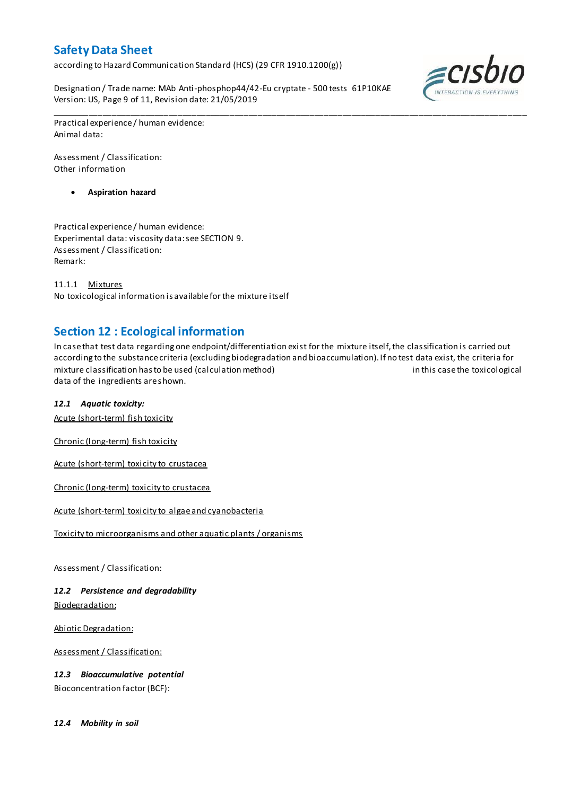according to Hazard Communication Standard (HCS) (29 CFR 1910.1200(g))

Designation / Trade name: MAb Anti-phosphop44/42-Eu cryptate - 500 tests 61P10KAE Version: US, Page 9 of 11, Revision date: 21/05/2019



Practical experience / human evidence: Animal data:

Assessment / Classification: Other information

**Aspiration hazard**

Practical experience / human evidence: Experimental data: viscosity data: see SECTION 9. Assessment / Classification: Remark:

11.1.1 Mixtures No toxicological information is available for the mixture itself

# **Section 12 : Ecological information**

In case that test data regarding one endpoint/differentiation exist for the mixture itself, the classification is carried out according to the substance criteria (excluding biodegradation and bioaccumulation). If no test data exist, the criteria for mixture classification has to be used (calculation method) in this case the toxicological data of the ingredients are shown.

\_\_\_\_\_\_\_\_\_\_\_\_\_\_\_\_\_\_\_\_\_\_\_\_\_\_\_\_\_\_\_\_\_\_\_\_\_\_\_\_\_\_\_\_\_\_\_\_\_\_\_\_\_\_\_\_\_\_\_\_\_\_\_\_\_\_\_\_\_\_\_\_\_\_\_\_\_\_\_\_\_\_\_\_\_\_\_\_\_\_\_\_\_\_\_\_\_\_\_\_\_

# *12.1 Aquatic toxicity:*

Acute (short-term) fish toxicity

Chronic (long-term) fish toxicity

Acute (short-term) toxicity to crustacea

Chronic (long-term) toxicity to crustacea

Acute (short-term) toxicity to algae and cyanobacteria

Toxicity to microorganisms and other aquatic plants / organisms

Assessment / Classification:

*12.2 Persistence and degradability* Biodegradation:

Abiotic Degradation:

Assessment / Classification:

*12.3 Bioaccumulative potential* Bioconcentration factor (BCF):

*12.4 Mobility in soil*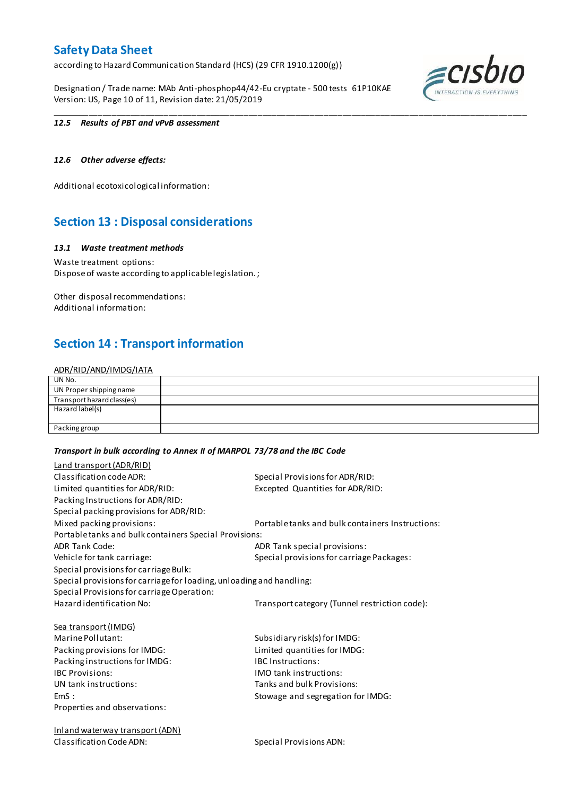according to Hazard Communication Standard (HCS) (29 CFR 1910.1200(g))

Designation / Trade name: MAb Anti-phosphop44/42-Eu cryptate - 500 tests 61P10KAE Version: US, Page 10 of 11, Revision date: 21/05/2019



#### *12.5 Results of PBT and vPvB assessment*

# *12.6 Other adverse effects:*

Additional ecotoxicological information:

# **Section 13 : Disposal considerations**

### *13.1 Waste treatment methods*

Waste treatment options: Dispose of waste according to applicable legislation. ;

Other disposal recommendations: Additional information:

# **Section 14 : Transport information**

#### ADR/RID/AND/IMDG/IATA

| UN No.                     |  |
|----------------------------|--|
| UN Proper shipping name    |  |
| Transport hazard class(es) |  |
| Hazard label(s)            |  |
|                            |  |
| Packing group              |  |

\_\_\_\_\_\_\_\_\_\_\_\_\_\_\_\_\_\_\_\_\_\_\_\_\_\_\_\_\_\_\_\_\_\_\_\_\_\_\_\_\_\_\_\_\_\_\_\_\_\_\_\_\_\_\_\_\_\_\_\_\_\_\_\_\_\_\_\_\_\_\_\_\_\_\_\_\_\_\_\_\_\_\_\_\_\_\_\_\_\_\_\_\_\_\_\_\_\_\_\_\_

#### *Transport in bulk according to Annex II of MARPOL 73/78 and the IBC Code*

| Land transport (ADR/RID)                                             |                                                  |
|----------------------------------------------------------------------|--------------------------------------------------|
| Classification code ADR:                                             | Special Provisions for ADR/RID:                  |
| Limited quantities for ADR/RID:                                      | Excepted Quantities for ADR/RID:                 |
| Packing Instructions for ADR/RID:                                    |                                                  |
| Special packing provisions for ADR/RID:                              |                                                  |
| Mixed packing provisions:                                            | Portable tanks and bulk containers Instructions: |
| Portable tanks and bulk containers Special Provisions:               |                                                  |
| <b>ADR Tank Code:</b>                                                | ADR Tank special provisions:                     |
| Vehicle for tank carriage:                                           | Special provisions for carriage Packages:        |
| Special provisions for carriage Bulk:                                |                                                  |
| Special provisions for carriage for loading, unloading and handling: |                                                  |
| Special Provisions for carriage Operation:                           |                                                  |
| Hazard identification No:                                            | Transport category (Tunnel restriction code):    |
| <b>Sea transport (IMDG)</b>                                          |                                                  |
| Marine Pollutant:                                                    | Subsidiary risk(s) for IMDG:                     |
| Packing provisions for IMDG:                                         | Limited quantities for IMDG:                     |
| Packing instructions for IMDG:                                       | <b>IBC Instructions:</b>                         |
| <b>IBC Provisions:</b>                                               | <b>IMO</b> tank instructions:                    |
| UN tank instructions:                                                | Tanks and bulk Provisions:                       |
| EmS:                                                                 | Stowage and segregation for IMDG:                |
| Properties and observations:                                         |                                                  |
| <b>Inland waterway transport (ADN)</b>                               |                                                  |
| Classification Code ADN:                                             | Special Provisions ADN:                          |